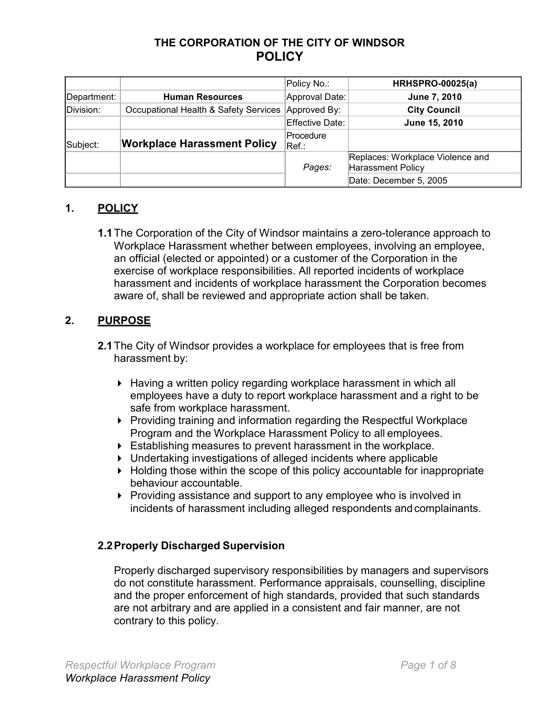# **THE CORPORATION OF THE CITY OF WINDSOR POLICY**

|             |                                       | Policy No.:        | <b>HRHSPRO-00025(a)</b>                               |
|-------------|---------------------------------------|--------------------|-------------------------------------------------------|
| Department: | <b>Human Resources</b>                | Approval Date:     | June 7, 2010                                          |
| Division:   | Occupational Health & Safety Services | Approved By:       | <b>City Council</b>                                   |
|             |                                       | Effective Date:    | June 15, 2010                                         |
| Subject:    | <b>Workplace Harassment Policy</b>    | Procedure<br>Ref.∶ |                                                       |
|             |                                       | Pages:             | Replaces: Workplace Violence and<br>Harassment Policy |
|             |                                       |                    | Date: December 5, 2005                                |

# **1. POLICY**

**1.1**The Corporation of the City of Windsor maintains a zero-tolerance approach to Workplace Harassment whether between employees, involving an employee, an official (elected or appointed) or a customer of the Corporation in the exercise of workplace responsibilities. All reported incidents of workplace harassment and incidents of workplace harassment the Corporation becomes aware of, shall be reviewed and appropriate action shall be taken.

# **2. PURPOSE**

- **2.1**The City of Windsor provides a workplace for employees that is free from harassment by:
	- ▶ Having a written policy regarding workplace harassment in which all employees have a duty to report workplace harassment and a right to be safe from workplace harassment.
	- ▶ Providing training and information regarding the Respectful Workplace Program and the Workplace Harassment Policy to all employees.
	- ▶ Establishing measures to prevent harassment in the workplace.
	- ▶ Undertaking investigations of alleged incidents where applicable
	- ▶ Holding those within the scope of this policy accountable for inappropriate behaviour accountable.
	- ▶ Providing assistance and support to any employee who is involved in incidents of harassment including alleged respondents and complainants.

## **2.2Properly Discharged Supervision**

Properly discharged supervisory responsibilities by managers and supervisors do not constitute harassment. Performance appraisals, counselling, discipline and the proper enforcement of high standards, provided that such standards are not arbitrary and are applied in a consistent and fair manner, are not contrary to this policy.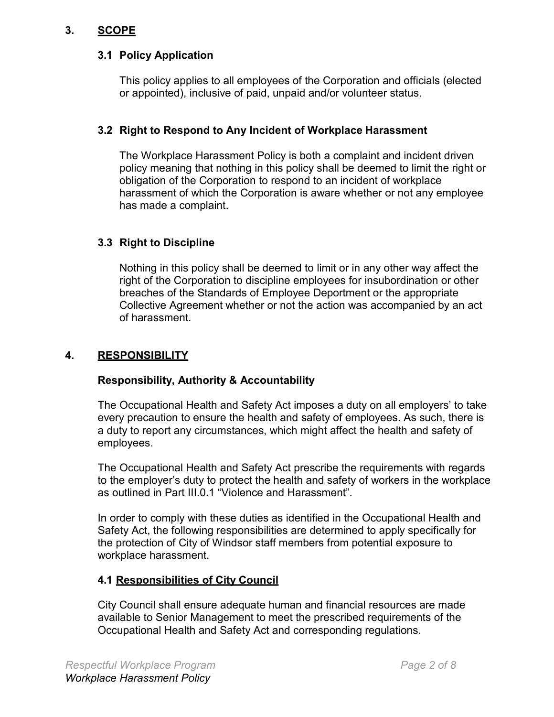# **3. SCOPE**

## **3.1 Policy Application**

This policy applies to all employees of the Corporation and officials (elected or appointed), inclusive of paid, unpaid and/or volunteer status.

## **3.2 Right to Respond to Any Incident of Workplace Harassment**

The Workplace Harassment Policy is both a complaint and incident driven policy meaning that nothing in this policy shall be deemed to limit the right or obligation of the Corporation to respond to an incident of workplace harassment of which the Corporation is aware whether or not any employee has made a complaint.

# **3.3 Right to Discipline**

Nothing in this policy shall be deemed to limit or in any other way affect the right of the Corporation to discipline employees for insubordination or other breaches of the Standards of Employee Deportment or the appropriate Collective Agreement whether or not the action was accompanied by an act of harassment.

# **4. RESPONSIBILITY**

## **Responsibility, Authority & Accountability**

The Occupational Health and Safety Act imposes a duty on all employers' to take every precaution to ensure the health and safety of employees. As such, there is a duty to report any circumstances, which might affect the health and safety of employees.

The Occupational Health and Safety Act prescribe the requirements with regards to the employer's duty to protect the health and safety of workers in the workplace as outlined in Part III.0.1 "Violence and Harassment".

In order to comply with these duties as identified in the Occupational Health and Safety Act, the following responsibilities are determined to apply specifically for the protection of City of Windsor staff members from potential exposure to workplace harassment.

# **4.1 Responsibilities of City Council**

City Council shall ensure adequate human and financial resources are made available to Senior Management to meet the prescribed requirements of the Occupational Health and Safety Act and corresponding regulations.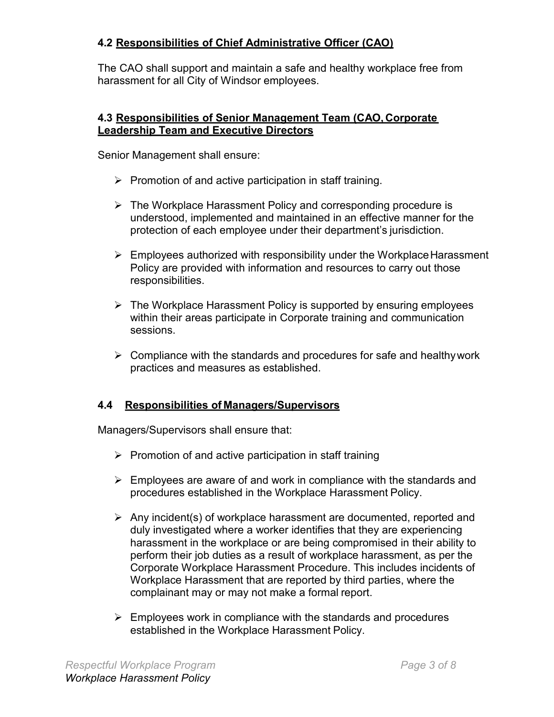## **4.2 Responsibilities of Chief Administrative Officer (CAO)**

The CAO shall support and maintain a safe and healthy workplace free from harassment for all City of Windsor employees.

## **4.3 Responsibilities of Senior Management Team (CAO, Corporate Leadership Team and Executive Directors**

Senior Management shall ensure:

- $\triangleright$  Promotion of and active participation in staff training.
- $\triangleright$  The Workplace Harassment Policy and corresponding procedure is understood, implemented and maintained in an effective manner for the protection of each employee under their department's jurisdiction.
- $\triangleright$  Employees authorized with responsibility under the Workplace Harassment Policy are provided with information and resources to carry out those responsibilities.
- $\triangleright$  The Workplace Harassment Policy is supported by ensuring employees within their areas participate in Corporate training and communication sessions.
- $\triangleright$  Compliance with the standards and procedures for safe and healthy work practices and measures as established.

# **4.4 Responsibilities of Managers/Supervisors**

Managers/Supervisors shall ensure that:

- $\triangleright$  Promotion of and active participation in staff training
- $\triangleright$  Employees are aware of and work in compliance with the standards and procedures established in the Workplace Harassment Policy.
- $\triangleright$  Any incident(s) of workplace harassment are documented, reported and duly investigated where a worker identifies that they are experiencing harassment in the workplace or are being compromised in their ability to perform their job duties as a result of workplace harassment, as per the Corporate Workplace Harassment Procedure. This includes incidents of Workplace Harassment that are reported by third parties, where the complainant may or may not make a formal report.
- $\triangleright$  Employees work in compliance with the standards and procedures established in the Workplace Harassment Policy.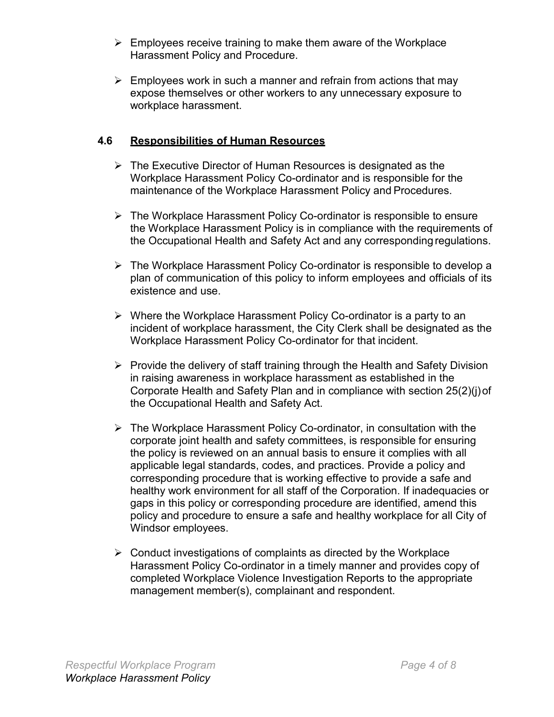- $\triangleright$  Employees receive training to make them aware of the Workplace Harassment Policy and Procedure.
- $\triangleright$  Employees work in such a manner and refrain from actions that may expose themselves or other workers to any unnecessary exposure to workplace harassment.

## **4.6 Responsibilities of Human Resources**

- $\triangleright$  The Executive Director of Human Resources is designated as the Workplace Harassment Policy Co-ordinator and is responsible for the maintenance of the Workplace Harassment Policy and Procedures.
- $\triangleright$  The Workplace Harassment Policy Co-ordinator is responsible to ensure the Workplace Harassment Policy is in compliance with the requirements of the Occupational Health and Safety Act and any correspondingregulations.
- ⮚ The Workplace Harassment Policy Co-ordinator is responsible to develop a plan of communication of this policy to inform employees and officials of its existence and use.
- $\triangleright$  Where the Workplace Harassment Policy Co-ordinator is a party to an incident of workplace harassment, the City Clerk shall be designated as the Workplace Harassment Policy Co-ordinator for that incident.
- $\triangleright$  Provide the delivery of staff training through the Health and Safety Division in raising awareness in workplace harassment as established in the Corporate Health and Safety Plan and in compliance with section 25(2)(j)of the Occupational Health and Safety Act.
- $\triangleright$  The Workplace Harassment Policy Co-ordinator, in consultation with the corporate joint health and safety committees, is responsible for ensuring the policy is reviewed on an annual basis to ensure it complies with all applicable legal standards, codes, and practices. Provide a policy and corresponding procedure that is working effective to provide a safe and healthy work environment for all staff of the Corporation. If inadequacies or gaps in this policy or corresponding procedure are identified, amend this policy and procedure to ensure a safe and healthy workplace for all City of Windsor employees.
- $\triangleright$  Conduct investigations of complaints as directed by the Workplace Harassment Policy Co-ordinator in a timely manner and provides copy of completed Workplace Violence Investigation Reports to the appropriate management member(s), complainant and respondent.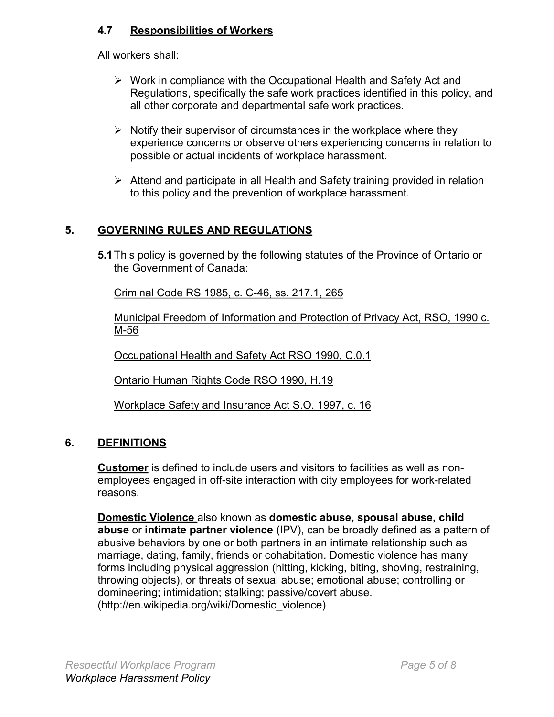# **4.7 Responsibilities of Workers**

All workers shall:

- $\triangleright$  Work in compliance with the Occupational Health and Safety Act and Regulations, specifically the safe work practices identified in this policy, and all other corporate and departmental safe work practices.
- $\triangleright$  Notify their supervisor of circumstances in the workplace where they experience concerns or observe others experiencing concerns in relation to possible or actual incidents of workplace harassment.
- $\triangleright$  Attend and participate in all Health and Safety training provided in relation to this policy and the prevention of workplace harassment.

# **5. GOVERNING RULES AND REGULATIONS**

**5.1**This policy is governed by the following statutes of the Province of Ontario or the Government of Canada:

Criminal Code RS 1985, c. C-46, ss. 217.1, 265

Municipal Freedom of Information and Protection of Privacy Act, RSO, 1990 c. M-56

Occupational Health and Safety Act RSO 1990, C.0.1

Ontario Human Rights Code RSO 1990, H.19

Workplace Safety and Insurance Act S.O. 1997, c. 16

# **6. DEFINITIONS**

**Customer** is defined to include users and visitors to facilities as well as nonemployees engaged in off-site interaction with city employees for work-related reasons.

**Domestic Violence** also known as **domestic abuse, spousal abuse, child abuse** or **intimate partner violence** (IPV), can be broadly defined as a pattern of abusive behaviors by one or both partners in an intimate relationship such as marriage, dating, family, friends or cohabitation. Domestic violence has many forms including physical aggression (hitting, kicking, biting, shoving, restraining, throwing objects), or threats of sexual abuse; emotional abuse; controlling or domineering; intimidation; stalking; passive/covert abuse. [\(http://en.wikipedia.org/wiki/Domestic\\_violence\)](http://en.wikipedia.org/wiki/Domestic_violence))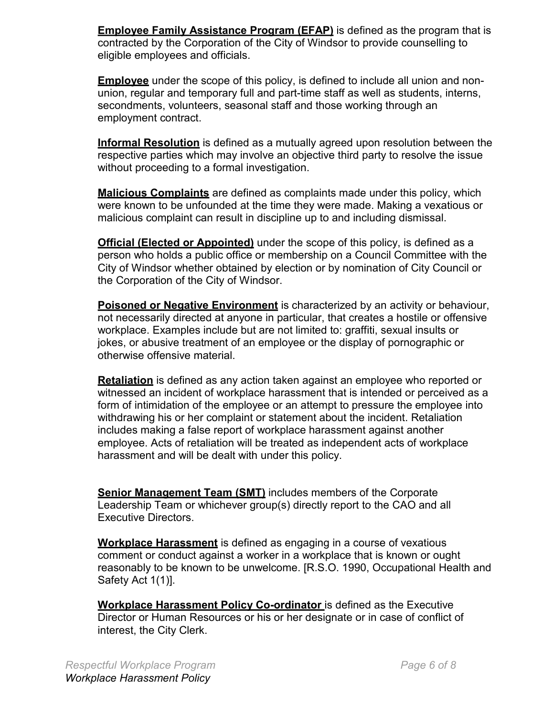**Employee Family Assistance Program (EFAP)** is defined as the program that is contracted by the Corporation of the City of Windsor to provide counselling to eligible employees and officials.

**Employee** under the scope of this policy, is defined to include all union and nonunion, regular and temporary full and part-time staff as well as students, interns, secondments, volunteers, seasonal staff and those working through an employment contract.

**Informal Resolution** is defined as a mutually agreed upon resolution between the respective parties which may involve an objective third party to resolve the issue without proceeding to a formal investigation.

**Malicious Complaints** are defined as complaints made under this policy, which were known to be unfounded at the time they were made. Making a vexatious or malicious complaint can result in discipline up to and including dismissal.

**Official (Elected or Appointed)** under the scope of this policy, is defined as a person who holds a public office or membership on a Council Committee with the City of Windsor whether obtained by election or by nomination of City Council or the Corporation of the City of Windsor.

**Poisoned or Negative Environment** is characterized by an activity or behaviour, not necessarily directed at anyone in particular, that creates a hostile or offensive workplace. Examples include but are not limited to: graffiti, sexual insults or jokes, or abusive treatment of an employee or the display of pornographic or otherwise offensive material.

**Retaliation** is defined as any action taken against an employee who reported or witnessed an incident of workplace harassment that is intended or perceived as a form of intimidation of the employee or an attempt to pressure the employee into withdrawing his or her complaint or statement about the incident. Retaliation includes making a false report of workplace harassment against another employee. Acts of retaliation will be treated as independent acts of workplace harassment and will be dealt with under this policy.

**Senior Management Team (SMT)** includes members of the Corporate Leadership Team or whichever group(s) directly report to the CAO and all Executive Directors.

**Workplace Harassment** is defined as engaging in a course of vexatious comment or conduct against a worker in a workplace that is known or ought reasonably to be known to be unwelcome. [R.S.O. 1990, Occupational Health and Safety Act 1(1)].

**Workplace Harassment Policy Co-ordinator** is defined as the Executive Director or Human Resources or his or her designate or in case of conflict of interest, the City Clerk.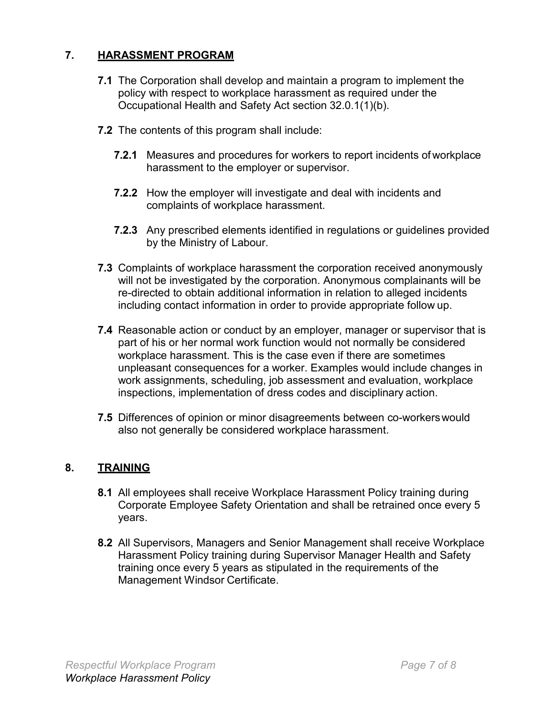# **7. HARASSMENT PROGRAM**

- **7.1** The Corporation shall develop and maintain a program to implement the policy with respect to workplace harassment as required under the Occupational Health and Safety Act section 32.0.1(1)(b).
- **7.2** The contents of this program shall include:
	- **7.2.1** Measures and procedures for workers to report incidents of workplace harassment to the employer or supervisor.
	- **7.2.2** How the employer will investigate and deal with incidents and complaints of workplace harassment.
	- **7.2.3** Any prescribed elements identified in regulations or guidelines provided by the Ministry of Labour.
- **7.3** Complaints of workplace harassment the corporation received anonymously will not be investigated by the corporation. Anonymous complainants will be re-directed to obtain additional information in relation to alleged incidents including contact information in order to provide appropriate follow up.
- **7.4** Reasonable action or conduct by an employer, manager or supervisor that is part of his or her normal work function would not normally be considered workplace harassment. This is the case even if there are sometimes unpleasant consequences for a worker. Examples would include changes in work assignments, scheduling, job assessment and evaluation, workplace inspections, implementation of dress codes and disciplinary action.
- **7.5** Differences of opinion or minor disagreements between co-workerswould also not generally be considered workplace harassment.

## **8. TRAINING**

- **8.1** All employees shall receive Workplace Harassment Policy training during Corporate Employee Safety Orientation and shall be retrained once every 5 years.
- **8.2** All Supervisors, Managers and Senior Management shall receive Workplace Harassment Policy training during Supervisor Manager Health and Safety training once every 5 years as stipulated in the requirements of the Management Windsor Certificate.